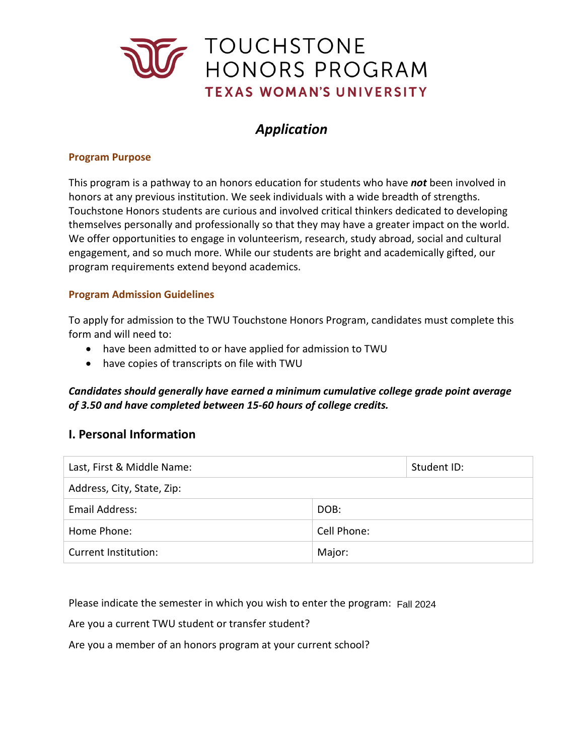

# *Application*

### **Program Purpose**

 This program is a pathway to an honors education for students who have *not* been involved in Touchstone Honors students are curious and involved critical thinkers dedicated to developing themselves personally and professionally so that they may have a greater impact on the world. engagement, and so much more. While our students are bright and academically gifted, our honors at any previous institution. We seek individuals with a wide breadth of strengths. We offer opportunities to engage in volunteerism, research, study abroad, social and cultural program requirements extend beyond academics.

### **Program Admission Guidelines**

 To apply for admission to the TWU Touchstone Honors Program, candidates must complete this form and will need to:

- have been admitted to or have applied for admission to TWU
- have copies of transcripts on file with TWU

## *Candidates should generally have earned a minimum cumulative college grade point average of 3.50 and have completed between 15-60 hours of college credits.*

## **I. Personal Information**

| Last, First & Middle Name: |             | Student ID: |  |
|----------------------------|-------------|-------------|--|
| Address, City, State, Zip: |             |             |  |
| Email Address:             | DOB:        |             |  |
| Home Phone:                | Cell Phone: |             |  |
| Current Institution:       | Major:      |             |  |

Please indicate the semester in which you wish to enter the program: Fall 2024

Are you a current TWU student or transfer student?

Are you a member of an honors program at your current school?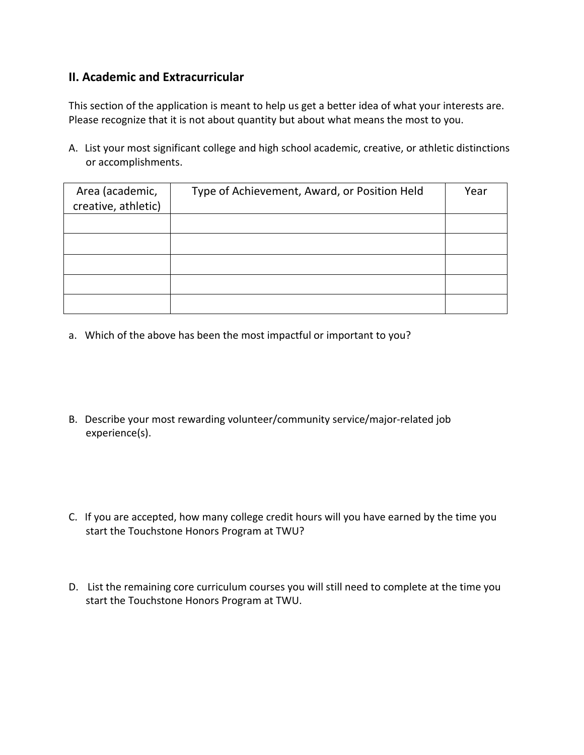# **II. Academic and Extracurricular**

This section of the application is meant to help us get a better idea of what your interests are. Please recognize that it is not about quantity but about what means the most to you.

A. List your most significant college and high school academic, creative, or athletic distinctions or accomplishments.

| Area (academic,<br>creative, athletic) | Type of Achievement, Award, or Position Held | Year |
|----------------------------------------|----------------------------------------------|------|
|                                        |                                              |      |
|                                        |                                              |      |
|                                        |                                              |      |
|                                        |                                              |      |
|                                        |                                              |      |

- a. Which of the above has been the most impactful or important to you?
- B. Describe your most rewarding volunteer/community service/major-related job experience(s).
- C. If you are accepted, how many college credit hours will you have earned by the time you start the Touchstone Honors Program at TWU?
- D. List the remaining core curriculum courses you will still need to complete at the time you start the Touchstone Honors Program at TWU.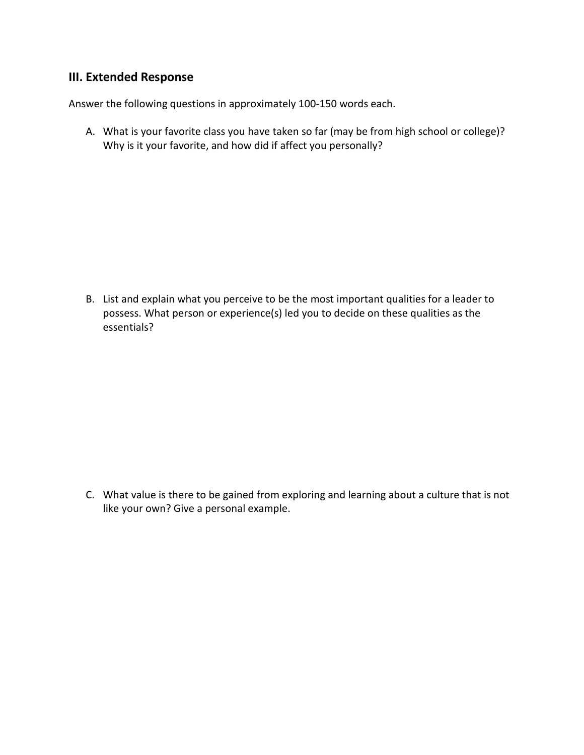# **III. Extended Response**

Answer the following questions in approximately 100-150 words each.

 A. What is your favorite class you have taken so far (may be from high school or college)? Why is it your favorite, and how did if affect you personally?

 B. List and explain what you perceive to be the most important qualities for a leader to possess. What person or experience(s) led you to decide on these qualities as the essentials?

 like your own? Give a personal example. C. What value is there to be gained from exploring and learning about a culture that is not